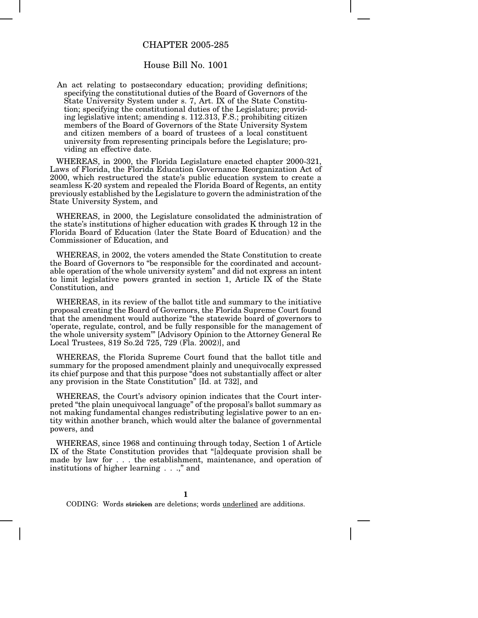## CHAPTER 2005-285

## House Bill No. 1001

An act relating to postsecondary education; providing definitions; specifying the constitutional duties of the Board of Governors of the State University System under s. 7, Art. IX of the State Constitution; specifying the constitutional duties of the Legislature; providing legislative intent; amending s. 112.313, F.S.; prohibiting citizen members of the Board of Governors of the State University System and citizen members of a board of trustees of a local constituent university from representing principals before the Legislature; providing an effective date.

WHEREAS, in 2000, the Florida Legislature enacted chapter 2000-321, Laws of Florida, the Florida Education Governance Reorganization Act of 2000, which restructured the state's public education system to create a seamless K-20 system and repealed the Florida Board of Regents, an entity previously established by the Legislature to govern the administration of the State University System, and

WHEREAS, in 2000, the Legislature consolidated the administration of the state's institutions of higher education with grades K through 12 in the Florida Board of Education (later the State Board of Education) and the Commissioner of Education, and

WHEREAS, in 2002, the voters amended the State Constitution to create the Board of Governors to "be responsible for the coordinated and accountable operation of the whole university system" and did not express an intent to limit legislative powers granted in section 1, Article IX of the State Constitution, and

WHEREAS, in its review of the ballot title and summary to the initiative proposal creating the Board of Governors, the Florida Supreme Court found that the amendment would authorize "the statewide board of governors to 'operate, regulate, control, and be fully responsible for the management of the whole university system'" [Advisory Opinion to the Attorney General Re Local Trustees, 819 So.2d 725, 729 (Fla. 2002)], and

WHEREAS, the Florida Supreme Court found that the ballot title and summary for the proposed amendment plainly and unequivocally expressed its chief purpose and that this purpose "does not substantially affect or alter any provision in the State Constitution" [Id. at 732], and

WHEREAS, the Court's advisory opinion indicates that the Court interpreted "the plain unequivocal language" of the proposal's ballot summary as not making fundamental changes redistributing legislative power to an entity within another branch, which would alter the balance of governmental powers, and

WHEREAS, since 1968 and continuing through today, Section 1 of Article IX of the State Constitution provides that "[a]dequate provision shall be made by law for . . . the establishment, maintenance, and operation of institutions of higher learning . . .," and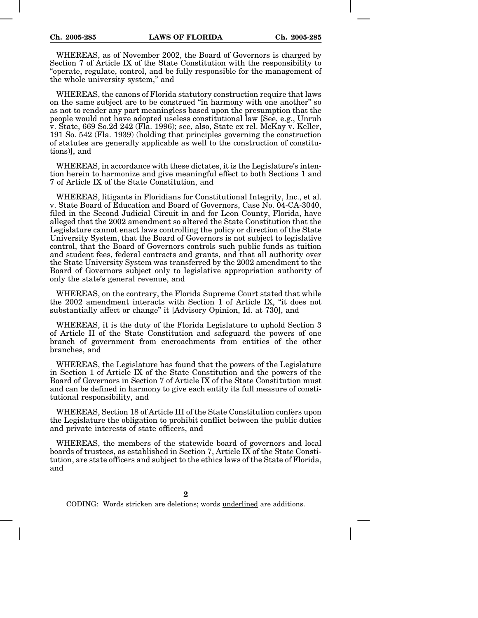WHEREAS, as of November 2002, the Board of Governors is charged by Section 7 of Article IX of the State Constitution with the responsibility to "operate, regulate, control, and be fully responsible for the management of the whole university system," and

WHEREAS, the canons of Florida statutory construction require that laws on the same subject are to be construed "in harmony with one another" so as not to render any part meaningless based upon the presumption that the people would not have adopted useless constitutional law [See, e.g., Unruh v. State, 669 So.2d 242 (Fla. 1996); see, also, State ex rel. McKay v. Keller, 191 So. 542 (Fla. 1939) (holding that principles governing the construction of statutes are generally applicable as well to the construction of constitutions)], and

WHEREAS, in accordance with these dictates, it is the Legislature's intention herein to harmonize and give meaningful effect to both Sections 1 and 7 of Article IX of the State Constitution, and

WHEREAS, litigants in Floridians for Constitutional Integrity, Inc., et al. v. State Board of Education and Board of Governors, Case No. 04-CA-3040, filed in the Second Judicial Circuit in and for Leon County, Florida, have alleged that the 2002 amendment so altered the State Constitution that the Legislature cannot enact laws controlling the policy or direction of the State University System, that the Board of Governors is not subject to legislative control, that the Board of Governors controls such public funds as tuition and student fees, federal contracts and grants, and that all authority over the State University System was transferred by the 2002 amendment to the Board of Governors subject only to legislative appropriation authority of only the state's general revenue, and

WHEREAS, on the contrary, the Florida Supreme Court stated that while the 2002 amendment interacts with Section 1 of Article IX, "it does not substantially affect or change" it [Advisory Opinion, Id. at 730], and

WHEREAS, it is the duty of the Florida Legislature to uphold Section 3 of Article II of the State Constitution and safeguard the powers of one branch of government from encroachments from entities of the other branches, and

WHEREAS, the Legislature has found that the powers of the Legislature in Section 1 of Article IX of the State Constitution and the powers of the Board of Governors in Section 7 of Article IX of the State Constitution must and can be defined in harmony to give each entity its full measure of constitutional responsibility, and

WHEREAS, Section 18 of Article III of the State Constitution confers upon the Legislature the obligation to prohibit conflict between the public duties and private interests of state officers, and

WHEREAS, the members of the statewide board of governors and local boards of trustees, as established in Section 7, Article IX of the State Constitution, are state officers and subject to the ethics laws of the State of Florida, and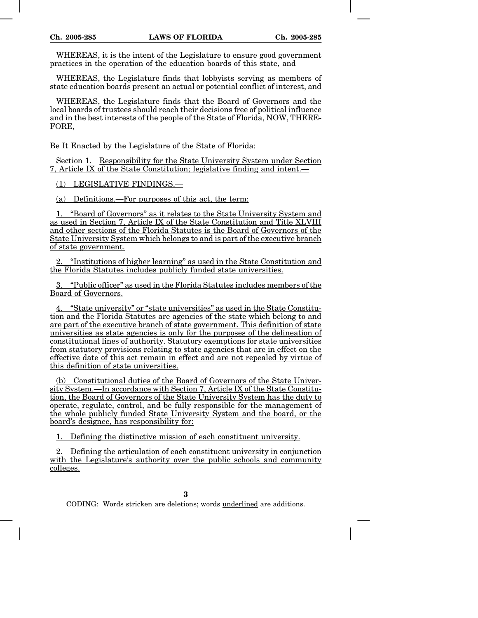WHEREAS, it is the intent of the Legislature to ensure good government practices in the operation of the education boards of this state, and

WHEREAS, the Legislature finds that lobbyists serving as members of state education boards present an actual or potential conflict of interest, and

WHEREAS, the Legislature finds that the Board of Governors and the local boards of trustees should reach their decisions free of political influence and in the best interests of the people of the State of Florida, NOW, THERE-FORE,

Be It Enacted by the Legislature of the State of Florida:

Section 1. Responsibility for the State University System under Section 7, Article IX of the State Constitution; legislative finding and intent.—

(1) LEGISLATIVE FINDINGS.—

(a) Definitions.—For purposes of this act, the term:

1. "Board of Governors" as it relates to the State University System and as used in Section 7, Article IX of the State Constitution and Title XLVIII and other sections of the Florida Statutes is the Board of Governors of the State University System which belongs to and is part of the executive branch of state government.

2. "Institutions of higher learning" as used in the State Constitution and the Florida Statutes includes publicly funded state universities.

3. "Public officer" as used in the Florida Statutes includes members of the Board of Governors.

4. "State university" or "state universities" as used in the State Constitution and the Florida Statutes are agencies of the state which belong to and are part of the executive branch of state government. This definition of state universities as state agencies is only for the purposes of the delineation of constitutional lines of authority. Statutory exemptions for state universities from statutory provisions relating to state agencies that are in effect on the effective date of this act remain in effect and are not repealed by virtue of this definition of state universities.

(b) Constitutional duties of the Board of Governors of the State University System.—In accordance with Section 7, Article IX of the State Constitution, the Board of Governors of the State University System has the duty to operate, regulate, control, and be fully responsible for the management of the whole publicly funded State University System and the board, or the board's designee, has responsibility for:

1. Defining the distinctive mission of each constituent university.

2. Defining the articulation of each constituent university in conjunction with the Legislature's authority over the public schools and community colleges.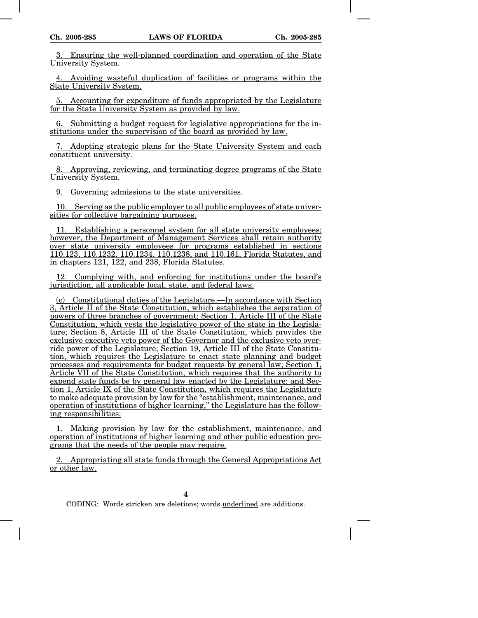3. Ensuring the well-planned coordination and operation of the State University System.

4. Avoiding wasteful duplication of facilities or programs within the State University System.

5. Accounting for expenditure of funds appropriated by the Legislature for the State University System as provided by law.

6. Submitting a budget request for legislative appropriations for the institutions under the supervision of the board as provided by law.

7. Adopting strategic plans for the State University System and each constituent university.

8. Approving, reviewing, and terminating degree programs of the State University System.

9. Governing admissions to the state universities.

10. Serving as the public employer to all public employees of state universities for collective bargaining purposes.

11. Establishing a personnel system for all state university employees; however, the Department of Management Services shall retain authority over state university employees for programs established in sections 110.123, 110.1232, 110.1234, 110.1238, and 110.161, Florida Statutes, and in chapters 121, 122, and 238, Florida Statutes.

12. Complying with, and enforcing for institutions under the board's jurisdiction, all applicable local, state, and federal laws.

(c) Constitutional duties of the Legislature.—In accordance with Section 3, Article II of the State Constitution, which establishes the separation of powers of three branches of government; Section 1, Article III of the State Constitution, which vests the legislative power of the state in the Legislature; Section 8, Article III of the State Constitution, which provides the exclusive executive veto power of the Governor and the exclusive veto override power of the Legislature; Section 19, Article III of the State Constitution, which requires the Legislature to enact state planning and budget processes and requirements for budget requests by general law; Section 1, Article VII of the State Constitution, which requires that the authority to expend state funds be by general law enacted by the Legislature; and Section 1, Article IX of the State Constitution, which requires the Legislature to make adequate provision by law for the "establishment, maintenance, and operation of institutions of higher learning," the Legislature has the following responsibilities:

1. Making provision by law for the establishment, maintenance, and operation of institutions of higher learning and other public education programs that the needs of the people may require.

2. Appropriating all state funds through the General Appropriations Act or other law.